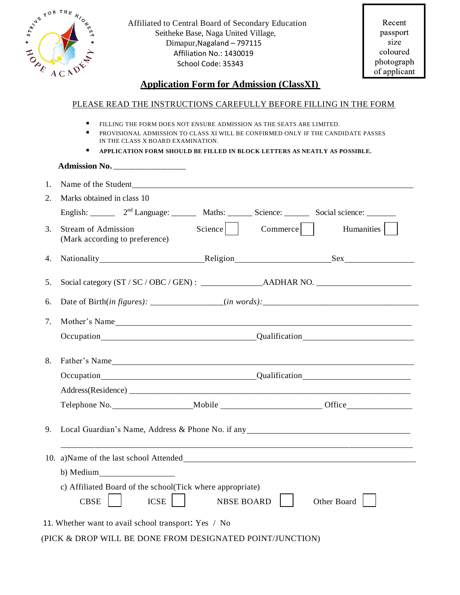| $R^{\text{OR}}$ THE<br>STRING<br><b>HONE</b>                                   | Affiliated to Central Board of Secondary Education<br>Seitheke Base, Naga United Village,<br>Dimapur, Nagaland - 797115<br>Affiliation No.: 1430019<br>School Code: 35343                                            | Recent<br>passport<br>size<br>coloured<br>photograph |  |  |  |
|--------------------------------------------------------------------------------|----------------------------------------------------------------------------------------------------------------------------------------------------------------------------------------------------------------------|------------------------------------------------------|--|--|--|
|                                                                                | $ACA^{\overrightarrow{Q}}$<br><b>Application Form for Admission (ClassXI)</b>                                                                                                                                        | of applicant                                         |  |  |  |
| PLEASE READ THE INSTRUCTIONS CAREFULLY BEFORE FILLING IN THE FORM              |                                                                                                                                                                                                                      |                                                      |  |  |  |
|                                                                                | ٠<br>FILLING THE FORM DOES NOT ENSURE ADMISSION AS THE SEATS ARE LIMITED.<br>$\blacksquare$<br>PROVISIONAL ADMISSION TO CLASS XI WILL BE CONFIRMED ONLY IF THE CANDIDATE PASSES<br>IN THE CLASS X BOARD EXAMINATION. |                                                      |  |  |  |
| Е<br>APPLICATION FORM SHOULD BE FILLED IN BLOCK LETTERS AS NEATLY AS POSSIBLE. |                                                                                                                                                                                                                      |                                                      |  |  |  |
|                                                                                |                                                                                                                                                                                                                      |                                                      |  |  |  |
| 1.                                                                             | Name of the Student<br><u>Name of the Student</u>                                                                                                                                                                    |                                                      |  |  |  |
| $\overline{2}$ .                                                               | Marks obtained in class 10                                                                                                                                                                                           |                                                      |  |  |  |
|                                                                                | English: 2 <sup>nd</sup> Language: Maths: Science: Science: Social science: _______                                                                                                                                  |                                                      |  |  |  |
| 3.                                                                             | $Commerce$  <br>Science  <br><b>Stream of Admission</b><br>(Mark according to preference)                                                                                                                            | Humanities                                           |  |  |  |
| 4.                                                                             |                                                                                                                                                                                                                      |                                                      |  |  |  |
| 5.                                                                             |                                                                                                                                                                                                                      |                                                      |  |  |  |
| 6.                                                                             |                                                                                                                                                                                                                      |                                                      |  |  |  |
| 7.                                                                             | Mother's Name                                                                                                                                                                                                        |                                                      |  |  |  |
|                                                                                | Qualification<br>Occupation_                                                                                                                                                                                         |                                                      |  |  |  |
| 8.                                                                             |                                                                                                                                                                                                                      |                                                      |  |  |  |
|                                                                                | Occupation Qualification Qualification                                                                                                                                                                               |                                                      |  |  |  |
|                                                                                |                                                                                                                                                                                                                      |                                                      |  |  |  |
|                                                                                | Telephone No. ______________________Mobile ____________________________Office_______________________                                                                                                                 |                                                      |  |  |  |
| 9.                                                                             | Local Guardian's Name, Address & Phone No. if any Manuson and School Contains a set of the Manuson and School                                                                                                        |                                                      |  |  |  |
|                                                                                |                                                                                                                                                                                                                      |                                                      |  |  |  |
|                                                                                | b) Medium                                                                                                                                                                                                            |                                                      |  |  |  |
|                                                                                | c) Affiliated Board of the school (Tick where appropriate)<br><b>ICSE</b><br><b>CBSE</b><br>Other Board<br><b>NBSE BOARD</b>                                                                                         |                                                      |  |  |  |
|                                                                                | 11. Whether want to avail school transport: Yes / No                                                                                                                                                                 |                                                      |  |  |  |

## (PICK & DROP WILL BE DONE FROM DESIGNATED POINT/JUNCTION)